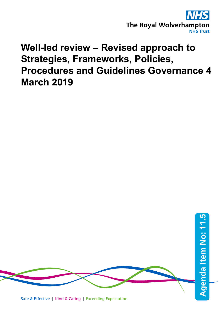

## **Well-led review – Revised approach to Strategies, Frameworks, Policies, Procedures and Guidelines Governance 4 March 2019**

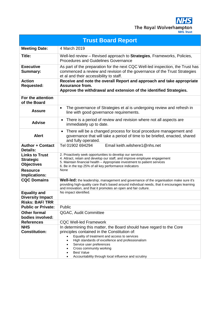| <b>Trust Board Report</b>                                      |                                                                                                                                                                                                                                                                                                                                                             |  |
|----------------------------------------------------------------|-------------------------------------------------------------------------------------------------------------------------------------------------------------------------------------------------------------------------------------------------------------------------------------------------------------------------------------------------------------|--|
| <b>Meeting Date:</b>                                           | 4 March 2019                                                                                                                                                                                                                                                                                                                                                |  |
| Title:                                                         | Well-led review - Revised approach to Strategies, Frameworks, Policies,<br><b>Procedures and Guidelines Governance</b>                                                                                                                                                                                                                                      |  |
| <b>Executive</b><br><b>Summary:</b>                            | As part of the preparation for the next CQC Well-led inspection, the Trust has<br>commenced a review and revision of the governance of the Trust Strategies<br>et al and their accessibility to staff.                                                                                                                                                      |  |
| <b>Action</b><br><b>Requested:</b>                             | Receive and note the overall Report and approach and take appropriate<br><b>Assurance from.</b><br>Approve the withdrawal and extension of the identified Strategies.                                                                                                                                                                                       |  |
| For the attention<br>of the Board                              |                                                                                                                                                                                                                                                                                                                                                             |  |
| <b>Assure</b>                                                  | The governance of Strategies et al is undergoing review and refresh in<br>$\bullet$<br>line with good governance requirements.                                                                                                                                                                                                                              |  |
| <b>Advise</b>                                                  | There is a period of review and revision where not all aspects are<br>$\bullet$<br>immediately up to date.                                                                                                                                                                                                                                                  |  |
| <b>Alert</b>                                                   | There will be a changed process for local procedure management and<br>$\bullet$<br>governance that will take a period of time to be briefed, enacted, shared<br>and fully operated.                                                                                                                                                                         |  |
| <b>Author + Contact</b><br><b>Details:</b>                     | Email keith.wilshere1@nhs.net<br>Tel 01902 694294                                                                                                                                                                                                                                                                                                           |  |
| <b>Links to Trust</b><br><b>Strategic</b><br><b>Objectives</b> | 2. Proactively seek opportunities to develop our services<br>4. Attract, retain and develop our staff, and improve employee engagement<br>5. Maintain financial health - Appropriate investment to patient services<br>6. Be in the top 25% of all key performance indicators                                                                               |  |
| <b>Resource</b><br><b>Implications:</b>                        | None                                                                                                                                                                                                                                                                                                                                                        |  |
| <b>CQC Domains</b>                                             | <b>Well-led:</b> the leadership, management and governance of the organisation make sure it's<br>providing high-quality care that's based around individual needs, that it encourages learning<br>and innovation, and that it promotes an open and fair culture.                                                                                            |  |
| <b>Equality and</b><br><b>Diversity Impact</b>                 | No impact identified.                                                                                                                                                                                                                                                                                                                                       |  |
| <b>Risks: BAF/TRR</b><br><b>Public or Private:</b>             | Public                                                                                                                                                                                                                                                                                                                                                      |  |
| <b>Other formal</b><br>bodies involved:                        | QGAC, Audit Committee                                                                                                                                                                                                                                                                                                                                       |  |
| <b>References</b>                                              | <b>CQC Well-led Framework</b>                                                                                                                                                                                                                                                                                                                               |  |
| <b>NHS</b><br><b>Constitution:</b>                             | In determining this matter, the Board should have regard to the Core<br>principles contained in the Constitution of:<br>Equality of treatment and access to services<br>High standards of excellence and professionalism<br>Service user preferences<br>Cross community working<br><b>Best Value</b><br>Accountability through local influence and scrutiny |  |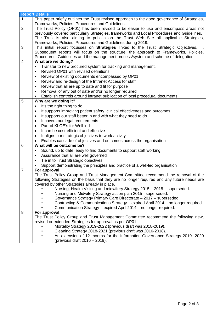|                | <b>Report Details</b>                                                                                                      |  |
|----------------|----------------------------------------------------------------------------------------------------------------------------|--|
| 1              | This paper briefly outlines the Trust revised approach to the good governance of Strategies,                               |  |
|                | Frameworks, Policies, Procedures and Guidelines.                                                                           |  |
| $\overline{2}$ | The Trust Policy (OP01) has been revised to be easier to use and encompass areas not                                       |  |
|                | previously covered particularly Strategies, frameworks and Local Procedures and Guidelines.                                |  |
|                | The Trust is also aiming to publish on the Trust Web Site all applicable Strategies,                                       |  |
|                | Frameworks, Policies, Procedures and Guidelines during 2019.                                                               |  |
| 3              | This initial report focusses on Strategies linked to the Trust Strategic Objectives.                                       |  |
|                | Subsequent reports will focus on the structure, the approach to Frameworks, Policies,                                      |  |
|                | Procedures, Guidelines and the management process/system and scheme of delegation.                                         |  |
| 4              | What are we doing?                                                                                                         |  |
|                | Transfer to new procured system for tracking and management.<br>$\bullet$                                                  |  |
|                | Revised OP01 with revised definitions                                                                                      |  |
|                | Review of existing documents encompassed by OP01<br>٠                                                                      |  |
|                | Review and re-design of the Intranet Access for staff<br>$\bullet$                                                         |  |
|                | Review that all are up to date and fit for purpose<br>$\bullet$                                                            |  |
|                | Removal of any out of date and/or no longer required<br>٠                                                                  |  |
|                | Establish controls around intranet publication of local procedural documents                                               |  |
| 5              | Why are we doing it?                                                                                                       |  |
|                | It's the right thing to do<br>$\bullet$                                                                                    |  |
|                | It supports improving patient safety, clinical effectiveness and outcomes<br>$\bullet$                                     |  |
|                | It supports our staff better in and with what they need to do<br>$\bullet$                                                 |  |
|                | It covers our legal requirements<br>$\bullet$                                                                              |  |
|                | Part of KLOE's for Well-led<br>$\bullet$                                                                                   |  |
|                | It can be cost-efficient and effective                                                                                     |  |
|                | $\bullet$                                                                                                                  |  |
|                | It aligns our strategic objectives to work activity<br>٠                                                                   |  |
|                | Enables cascade of objectives and outcomes across the organisation<br>What will be outcome be?                             |  |
| 6              |                                                                                                                            |  |
|                | Sound, up to date, easy to find documents to support staff working<br>$\bullet$                                            |  |
|                | Assurance that all are well governed<br>$\bullet$                                                                          |  |
|                | Tie in to Trust Strategic objectives                                                                                       |  |
|                | Support demonstrating the principles and practice of a well-led organisation                                               |  |
| $\overline{7}$ | For approval;                                                                                                              |  |
|                | The Trust Policy Group and Trust Management Committee recommend the removal of the                                         |  |
|                | following Strategies on the basis that they are no longer required and any future needs are                                |  |
|                | covered by other Strategies already in place.<br>Nursing, Health Visiting and midwifery Strategy 2015 - 2018 - superseded. |  |
|                | Nursing and Midwifery Strategy action plan 2015 - superseded.                                                              |  |
|                | Governance Strategy Primary Care Directorate - 2017 - superseded.                                                          |  |
|                | Contracting & Communications Strategy - expired April 2014 - no longer required.                                           |  |
|                | Communication Strategy - expired April 2014 - no longer required.                                                          |  |
| 8              | For approval:                                                                                                              |  |
|                | The Trust Policy Group and Trust Management Committee recommend the following new,                                         |  |
|                | revised or extended Strategies for approval as per OP01.                                                                   |  |
|                | Mortality Strategy 2019-2022 (previous draft was 2018-2019).                                                               |  |
|                | Cleaning Strategy 2018-2021 (previous draft was 2016-2018).                                                                |  |
|                | An extension of 12 months for the Information Governance Strategy 2019 -2020                                               |  |
|                | (previous draft 2016 – 2019).                                                                                              |  |